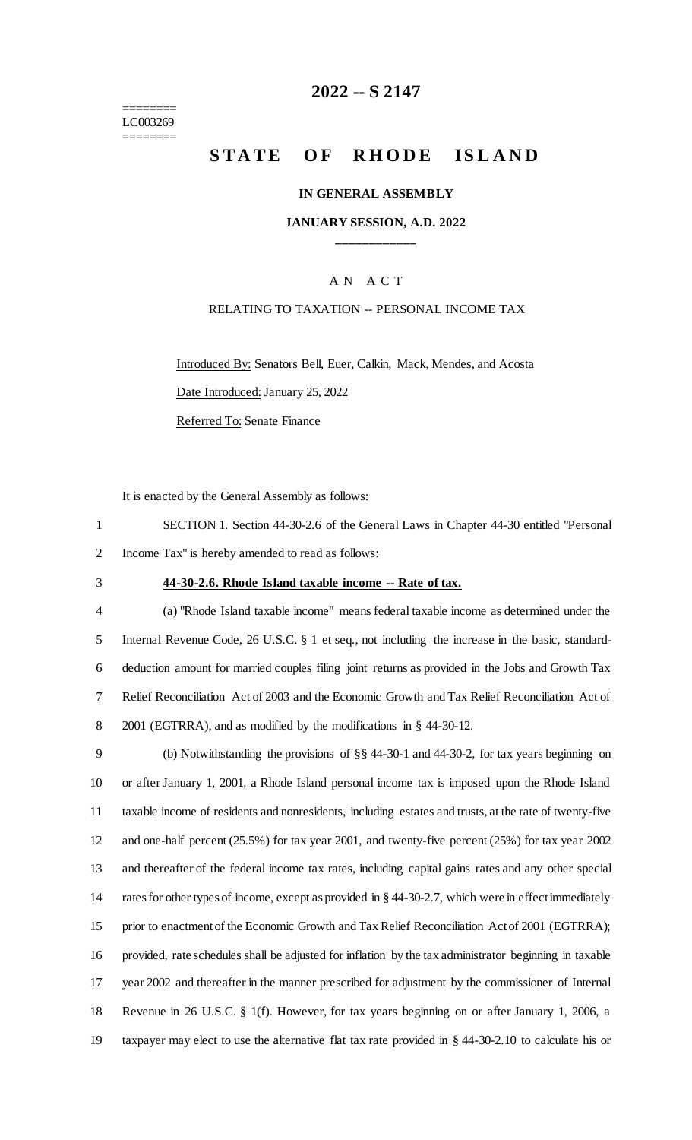======== LC003269 ========

# **2022 -- S 2147**

# **STATE OF RHODE ISLAND**

#### **IN GENERAL ASSEMBLY**

### **JANUARY SESSION, A.D. 2022 \_\_\_\_\_\_\_\_\_\_\_\_**

### A N A C T

### RELATING TO TAXATION -- PERSONAL INCOME TAX

Introduced By: Senators Bell, Euer, Calkin, Mack, Mendes, and Acosta Date Introduced: January 25, 2022

Referred To: Senate Finance

It is enacted by the General Assembly as follows:

1 SECTION 1. Section 44-30-2.6 of the General Laws in Chapter 44-30 entitled "Personal 2 Income Tax" is hereby amended to read as follows:

#### 3 **44-30-2.6. Rhode Island taxable income -- Rate of tax.**

 (a) "Rhode Island taxable income" means federal taxable income as determined under the Internal Revenue Code, 26 U.S.C. § 1 et seq., not including the increase in the basic, standard- deduction amount for married couples filing joint returns as provided in the Jobs and Growth Tax Relief Reconciliation Act of 2003 and the Economic Growth and Tax Relief Reconciliation Act of 2001 (EGTRRA), and as modified by the modifications in § 44-30-12.

 (b) Notwithstanding the provisions of §§ 44-30-1 and 44-30-2, for tax years beginning on or after January 1, 2001, a Rhode Island personal income tax is imposed upon the Rhode Island taxable income of residents and nonresidents, including estates and trusts, at the rate of twenty-five and one-half percent (25.5%) for tax year 2001, and twenty-five percent (25%) for tax year 2002 and thereafter of the federal income tax rates, including capital gains rates and any other special rates for other types of income, except as provided in § 44-30-2.7, which were in effect immediately 15 prior to enactment of the Economic Growth and Tax Relief Reconciliation Act of 2001 (EGTRRA); provided, rate schedules shall be adjusted for inflation by the tax administrator beginning in taxable year 2002 and thereafter in the manner prescribed for adjustment by the commissioner of Internal Revenue in 26 U.S.C. § 1(f). However, for tax years beginning on or after January 1, 2006, a taxpayer may elect to use the alternative flat tax rate provided in § 44-30-2.10 to calculate his or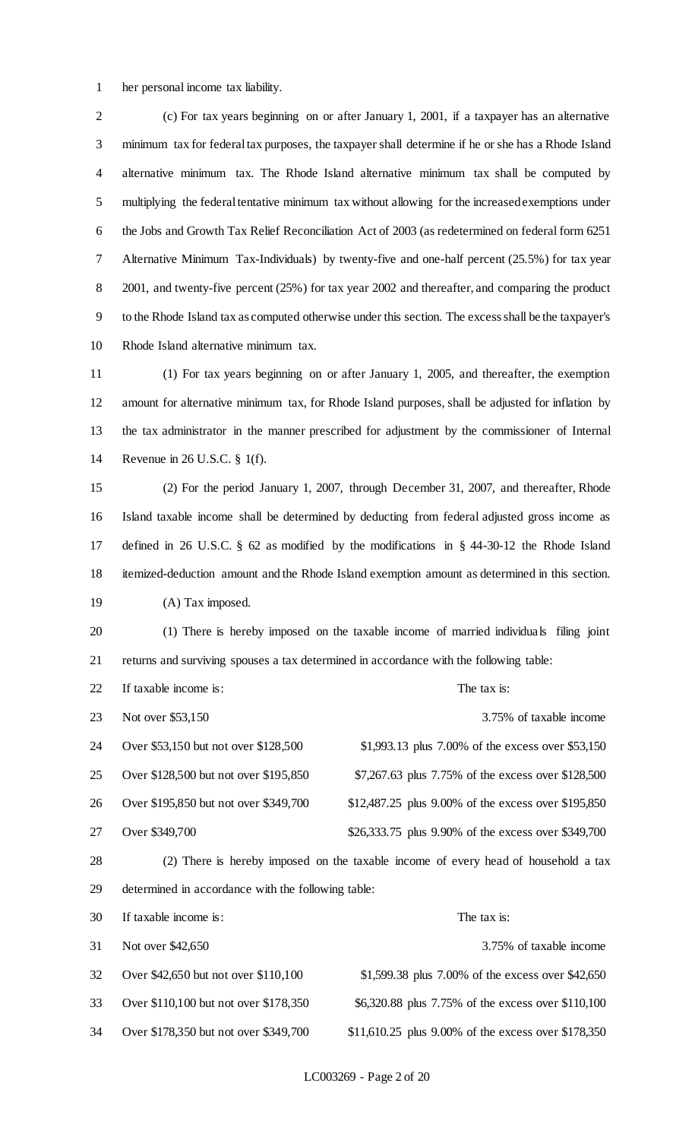her personal income tax liability.

 (c) For tax years beginning on or after January 1, 2001, if a taxpayer has an alternative minimum tax for federal tax purposes, the taxpayer shall determine if he or she has a Rhode Island alternative minimum tax. The Rhode Island alternative minimum tax shall be computed by multiplying the federal tentative minimum tax without allowing for the increased exemptions under the Jobs and Growth Tax Relief Reconciliation Act of 2003 (as redetermined on federal form 6251 Alternative Minimum Tax-Individuals) by twenty-five and one-half percent (25.5%) for tax year 2001, and twenty-five percent (25%) for tax year 2002 and thereafter, and comparing the product to the Rhode Island tax as computed otherwise under this section. The excess shall be the taxpayer's Rhode Island alternative minimum tax.

 (1) For tax years beginning on or after January 1, 2005, and thereafter, the exemption amount for alternative minimum tax, for Rhode Island purposes, shall be adjusted for inflation by the tax administrator in the manner prescribed for adjustment by the commissioner of Internal Revenue in 26 U.S.C. § 1(f).

 (2) For the period January 1, 2007, through December 31, 2007, and thereafter, Rhode Island taxable income shall be determined by deducting from federal adjusted gross income as defined in 26 U.S.C. § 62 as modified by the modifications in § 44-30-12 the Rhode Island itemized-deduction amount and the Rhode Island exemption amount as determined in this section. (A) Tax imposed.

 (1) There is hereby imposed on the taxable income of married individuals filing joint returns and surviving spouses a tax determined in accordance with the following table:

22 If taxable income is: The tax is: The tax is:

23 Not over \$53,150 3.75% of taxable income 24 Over \$53,150 but not over \$128,500 \$1,993.13 plus 7.00% of the excess over \$53,150 Over \$128,500 but not over \$195,850 \$7,267.63 plus 7.75% of the excess over \$128,500 26 Over \$195,850 but not over \$349,700 \$12,487.25 plus 9.00% of the excess over \$195,850 27 Over \$349,700 \$26,333.75 plus 9.90% of the excess over \$349,700 (2) There is hereby imposed on the taxable income of every head of household a tax determined in accordance with the following table:

| 30 | If taxable income is:                 | The tax is:                                         |
|----|---------------------------------------|-----------------------------------------------------|
| 31 | Not over \$42,650                     | 3.75% of taxable income                             |
| 32 | Over \$42,650 but not over \$110,100  | \$1,599.38 plus 7.00% of the excess over \$42,650   |
| 33 | Over \$110,100 but not over \$178,350 | \$6,320.88 plus 7.75% of the excess over \$110,100  |
| 34 | Over \$178,350 but not over \$349,700 | \$11,610.25 plus 9.00% of the excess over \$178,350 |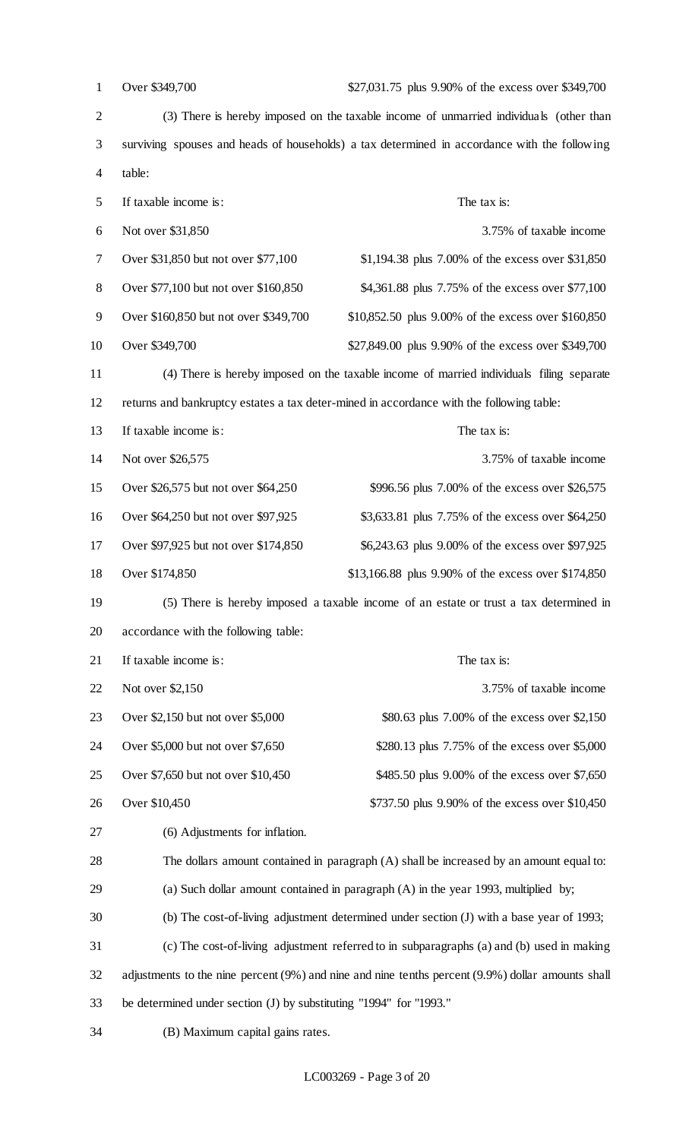| $\mathbf{1}$   | Over \$349,700<br>\$27,031.75 plus 9.90% of the excess over \$349,700                        |                                                                                                   |  |
|----------------|----------------------------------------------------------------------------------------------|---------------------------------------------------------------------------------------------------|--|
| $\overline{2}$ | (3) There is hereby imposed on the taxable income of unmarried individuals (other than       |                                                                                                   |  |
| 3              | surviving spouses and heads of households) a tax determined in accordance with the following |                                                                                                   |  |
| 4              | table:                                                                                       |                                                                                                   |  |
| 5              | If taxable income is:                                                                        | The tax is:                                                                                       |  |
| 6              | Not over \$31,850                                                                            | 3.75% of taxable income                                                                           |  |
| 7              | Over \$31,850 but not over \$77,100                                                          | \$1,194.38 plus 7.00% of the excess over \$31,850                                                 |  |
| 8              | Over \$77,100 but not over \$160,850                                                         | \$4,361.88 plus 7.75% of the excess over \$77,100                                                 |  |
| 9              | Over \$160,850 but not over \$349,700                                                        | \$10,852.50 plus 9.00% of the excess over \$160,850                                               |  |
| 10             | Over \$349,700                                                                               | \$27,849.00 plus 9.90% of the excess over \$349,700                                               |  |
| 11             |                                                                                              | (4) There is hereby imposed on the taxable income of married individuals filing separate          |  |
| 12             |                                                                                              | returns and bankruptcy estates a tax deter-mined in accordance with the following table:          |  |
| 13             | If taxable income is:                                                                        | The tax is:                                                                                       |  |
| 14             | Not over \$26,575                                                                            | 3.75% of taxable income                                                                           |  |
| 15             | Over \$26,575 but not over \$64,250                                                          | \$996.56 plus 7.00% of the excess over \$26,575                                                   |  |
| 16             | Over \$64,250 but not over \$97,925                                                          | \$3,633.81 plus 7.75% of the excess over \$64,250                                                 |  |
| 17             | Over \$97,925 but not over \$174,850<br>\$6,243.63 plus 9.00% of the excess over \$97,925    |                                                                                                   |  |
| 18             | Over \$174,850                                                                               | \$13,166.88 plus 9.90% of the excess over \$174,850                                               |  |
| 19             |                                                                                              | (5) There is hereby imposed a taxable income of an estate or trust a tax determined in            |  |
| 20             | accordance with the following table:                                                         |                                                                                                   |  |
| 21             | If taxable income is:                                                                        | The tax is:                                                                                       |  |
| 22             | Not over \$2,150                                                                             | 3.75% of taxable income                                                                           |  |
| 23             | Over \$2,150 but not over \$5,000                                                            | \$80.63 plus 7.00% of the excess over \$2,150                                                     |  |
| 24             | Over \$5,000 but not over \$7,650                                                            | \$280.13 plus 7.75% of the excess over \$5,000                                                    |  |
| 25             | Over \$7,650 but not over \$10,450                                                           | \$485.50 plus 9.00% of the excess over \$7,650                                                    |  |
| 26             | Over \$10,450                                                                                | \$737.50 plus 9.90% of the excess over \$10,450                                                   |  |
| 27             | (6) Adjustments for inflation.                                                               |                                                                                                   |  |
| 28             |                                                                                              | The dollars amount contained in paragraph (A) shall be increased by an amount equal to:           |  |
| 29             |                                                                                              | (a) Such dollar amount contained in paragraph $(A)$ in the year 1993, multiplied by;              |  |
| 30             |                                                                                              | (b) The cost-of-living adjustment determined under section (J) with a base year of 1993;          |  |
| 31             |                                                                                              | (c) The cost-of-living adjustment referred to in subparagraphs (a) and (b) used in making         |  |
| 32             |                                                                                              | adjustments to the nine percent (9%) and nine and nine tenths percent (9.9%) dollar amounts shall |  |
| 33             | be determined under section (J) by substituting "1994" for "1993."                           |                                                                                                   |  |
| 34             | (B) Maximum capital gains rates.                                                             |                                                                                                   |  |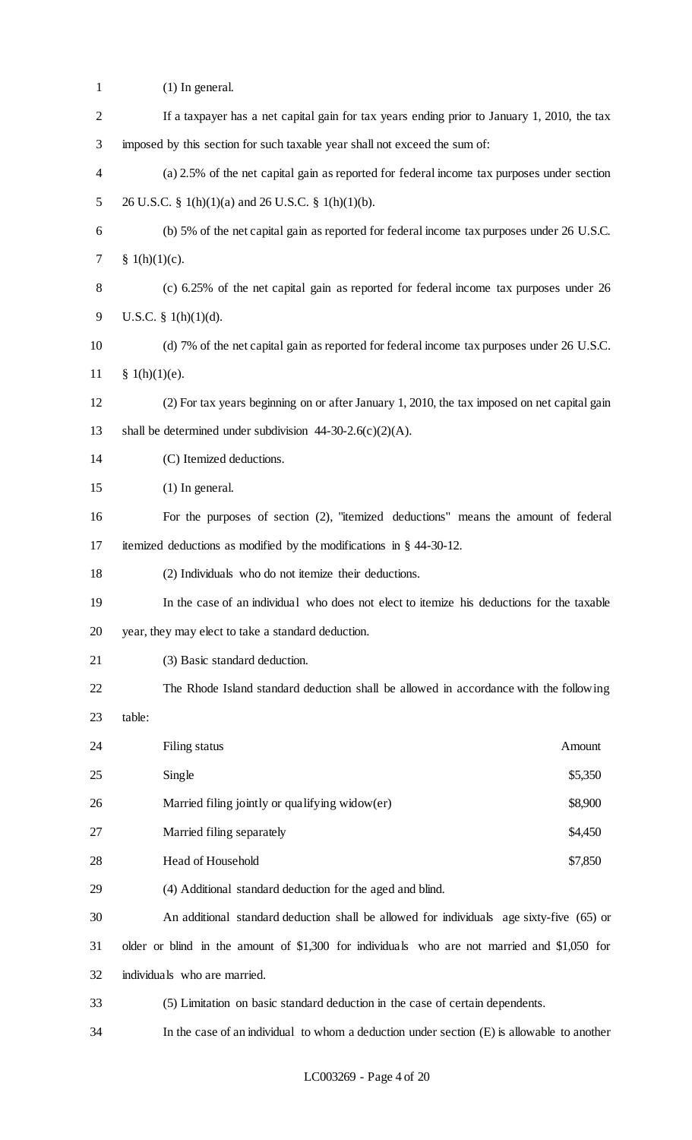| $\mathbf{1}$   | $(1)$ In general.                                                                            |
|----------------|----------------------------------------------------------------------------------------------|
| $\overline{c}$ | If a taxpayer has a net capital gain for tax years ending prior to January 1, 2010, the tax  |
| 3              | imposed by this section for such taxable year shall not exceed the sum of:                   |
| $\overline{4}$ | (a) 2.5% of the net capital gain as reported for federal income tax purposes under section   |
| 5              | 26 U.S.C. § 1(h)(1)(a) and 26 U.S.C. § 1(h)(1)(b).                                           |
| 6              | (b) 5% of the net capital gain as reported for federal income tax purposes under 26 U.S.C.   |
| 7              | § $1(h)(1)(c)$ .                                                                             |
| $8\,$          | (c) 6.25% of the net capital gain as reported for federal income tax purposes under 26       |
| 9              | U.S.C. § $1(h)(1)(d)$ .                                                                      |
| 10             | (d) 7% of the net capital gain as reported for federal income tax purposes under 26 U.S.C.   |
| 11             | § 1(h)(1)(e).                                                                                |
| 12             | (2) For tax years beginning on or after January 1, 2010, the tax imposed on net capital gain |
| 13             | shall be determined under subdivision $44-30-2.6(c)(2)(A)$ .                                 |
| 14             | (C) Itemized deductions.                                                                     |
| 15             | $(1)$ In general.                                                                            |
| 16             | For the purposes of section (2), "itemized deductions" means the amount of federal           |
| 17             | itemized deductions as modified by the modifications in $\S$ 44-30-12.                       |
| 18             | (2) Individuals who do not itemize their deductions.                                         |
| 19             | In the case of an individual who does not elect to itemize his deductions for the taxable    |
| 20             | year, they may elect to take a standard deduction.                                           |
| 21             | (3) Basic standard deduction.                                                                |
| 22             | The Rhode Island standard deduction shall be allowed in accordance with the following        |
| 23             | table:                                                                                       |
| 24             | Filing status<br>Amount                                                                      |
| 25             | Single<br>\$5,350                                                                            |
| 26             | Married filing jointly or qualifying widow(er)<br>\$8,900                                    |
| 27             | Married filing separately<br>\$4,450                                                         |
| 28             | Head of Household<br>\$7,850                                                                 |
| 29             | (4) Additional standard deduction for the aged and blind.                                    |
| 30             | An additional standard deduction shall be allowed for individuals age sixty-five (65) or     |
| 31             | older or blind in the amount of \$1,300 for individuals who are not married and \$1,050 for  |
| 32             | individuals who are married.                                                                 |
| 33             | (5) Limitation on basic standard deduction in the case of certain dependents.                |
| 34             | In the case of an individual to whom a deduction under section $(E)$ is allowable to another |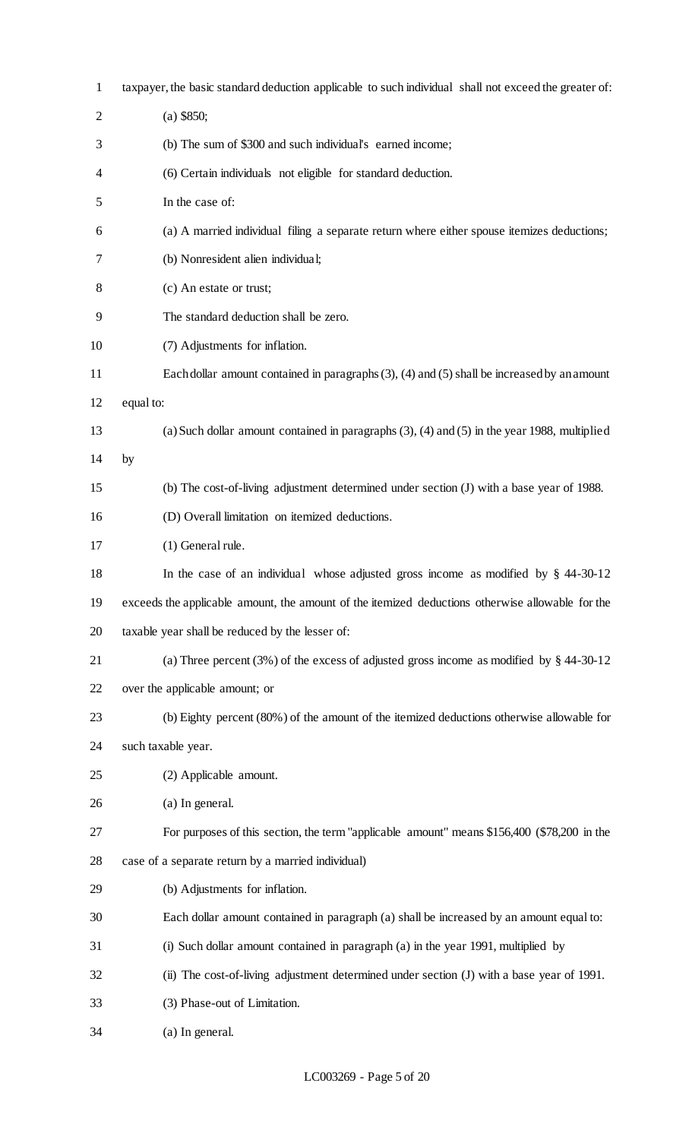| $\mathbf{1}$   | taxpayer, the basic standard deduction applicable to such individual shall not exceed the greater of: |
|----------------|-------------------------------------------------------------------------------------------------------|
| $\overline{2}$ | $(a)$ \$850;                                                                                          |
| 3              | (b) The sum of \$300 and such individual's earned income;                                             |
| 4              | (6) Certain individuals not eligible for standard deduction.                                          |
| 5              | In the case of:                                                                                       |
| 6              | (a) A married individual filing a separate return where either spouse itemizes deductions;            |
| 7              | (b) Nonresident alien individual;                                                                     |
| 8              | (c) An estate or trust;                                                                               |
| 9              | The standard deduction shall be zero.                                                                 |
| 10             | (7) Adjustments for inflation.                                                                        |
| 11             | Each dollar amount contained in paragraphs $(3)$ , $(4)$ and $(5)$ shall be increased by an amount    |
| 12             | equal to:                                                                                             |
| 13             | (a) Such dollar amount contained in paragraphs $(3)$ , $(4)$ and $(5)$ in the year 1988, multiplied   |
| 14             | by                                                                                                    |
| 15             | (b) The cost-of-living adjustment determined under section (J) with a base year of 1988.              |
| 16             | (D) Overall limitation on itemized deductions.                                                        |
| 17             | (1) General rule.                                                                                     |
| 18             | In the case of an individual whose adjusted gross income as modified by $\S$ 44-30-12                 |
| 19             | exceeds the applicable amount, the amount of the itemized deductions otherwise allowable for the      |
| 20             | taxable year shall be reduced by the lesser of:                                                       |
| 21             | (a) Three percent (3%) of the excess of adjusted gross income as modified by $\S$ 44-30-12            |
| 22             | over the applicable amount; or                                                                        |
| 23             | (b) Eighty percent (80%) of the amount of the itemized deductions otherwise allowable for             |
| 24             | such taxable year.                                                                                    |
| 25             | (2) Applicable amount.                                                                                |
| 26             | (a) In general.                                                                                       |
| 27             | For purposes of this section, the term "applicable amount" means \$156,400 (\$78,200 in the           |
| 28             | case of a separate return by a married individual)                                                    |
| 29             | (b) Adjustments for inflation.                                                                        |
| 30             | Each dollar amount contained in paragraph (a) shall be increased by an amount equal to:               |
| 31             | (i) Such dollar amount contained in paragraph (a) in the year 1991, multiplied by                     |
| 32             | (ii) The cost-of-living adjustment determined under section (J) with a base year of 1991.             |
| 33             | (3) Phase-out of Limitation.                                                                          |
| 34             | (a) In general.                                                                                       |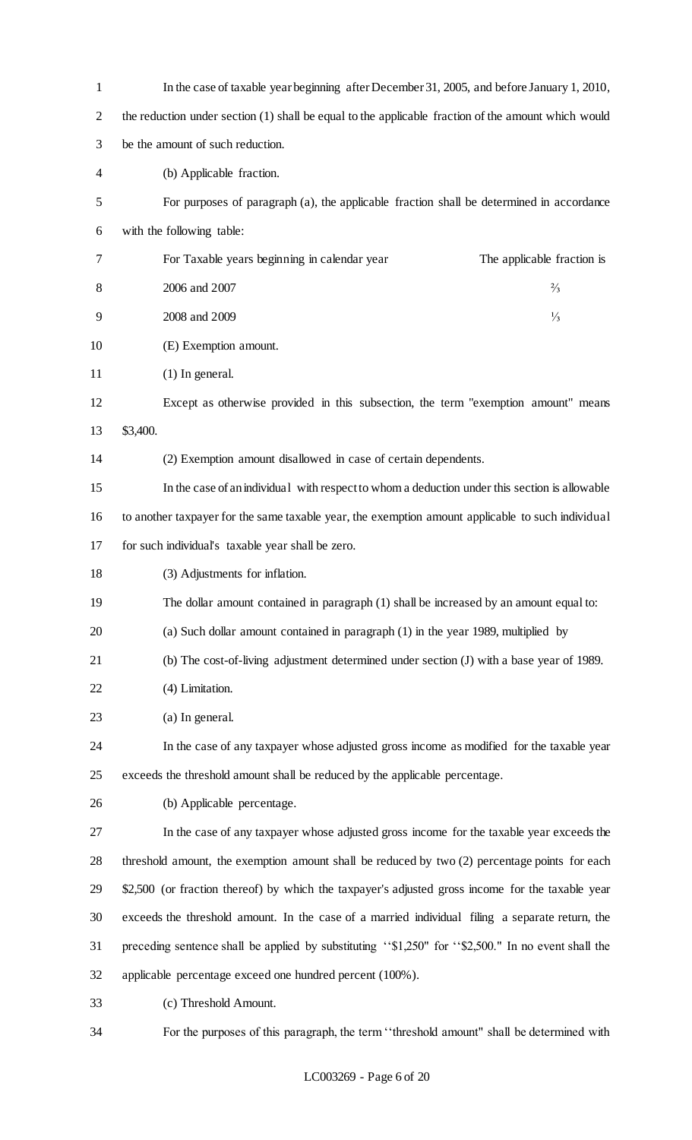| $\mathbf{1}$   | In the case of taxable year beginning after December 31, 2005, and before January 1, 2010,          |  |  |
|----------------|-----------------------------------------------------------------------------------------------------|--|--|
| $\overline{2}$ | the reduction under section (1) shall be equal to the applicable fraction of the amount which would |  |  |
| 3              | be the amount of such reduction.                                                                    |  |  |
| 4              | (b) Applicable fraction.                                                                            |  |  |
| 5              | For purposes of paragraph (a), the applicable fraction shall be determined in accordance            |  |  |
| 6              | with the following table:                                                                           |  |  |
| 7              | For Taxable years beginning in calendar year<br>The applicable fraction is                          |  |  |
| 8              | 2006 and 2007<br>$\frac{2}{3}$                                                                      |  |  |
| 9              | 2008 and 2009<br>$\frac{1}{3}$                                                                      |  |  |
| 10             | (E) Exemption amount.                                                                               |  |  |
| 11             | $(1)$ In general.                                                                                   |  |  |
| 12             | Except as otherwise provided in this subsection, the term "exemption amount" means                  |  |  |
| 13             | \$3,400.                                                                                            |  |  |
| 14             | (2) Exemption amount disallowed in case of certain dependents.                                      |  |  |
| 15             | In the case of an individual with respect to whom a deduction under this section is allowable       |  |  |
| 16             | to another taxpayer for the same taxable year, the exemption amount applicable to such individual   |  |  |
| 17             | for such individual's taxable year shall be zero.                                                   |  |  |
| 18             | (3) Adjustments for inflation.                                                                      |  |  |
| 19             | The dollar amount contained in paragraph (1) shall be increased by an amount equal to:              |  |  |
| 20             | (a) Such dollar amount contained in paragraph (1) in the year 1989, multiplied by                   |  |  |
| 21             | (b) The cost-of-living adjustment determined under section (J) with a base year of 1989.            |  |  |
| 22             | (4) Limitation.                                                                                     |  |  |
| 23             | (a) In general.                                                                                     |  |  |
| 24             | In the case of any taxpayer whose adjusted gross income as modified for the taxable year            |  |  |
| 25             | exceeds the threshold amount shall be reduced by the applicable percentage.                         |  |  |
| 26             | (b) Applicable percentage.                                                                          |  |  |
| 27             | In the case of any taxpayer whose adjusted gross income for the taxable year exceeds the            |  |  |
| 28             | threshold amount, the exemption amount shall be reduced by two (2) percentage points for each       |  |  |
| 29             | \$2,500 (or fraction thereof) by which the taxpayer's adjusted gross income for the taxable year    |  |  |
| 30             | exceeds the threshold amount. In the case of a married individual filing a separate return, the     |  |  |
| 31             | preceding sentence shall be applied by substituting "\$1,250" for "\$2,500." In no event shall the  |  |  |
| 32             | applicable percentage exceed one hundred percent (100%).                                            |  |  |
| 33             | (c) Threshold Amount.                                                                               |  |  |
|                |                                                                                                     |  |  |

For the purposes of this paragraph, the term ''threshold amount" shall be determined with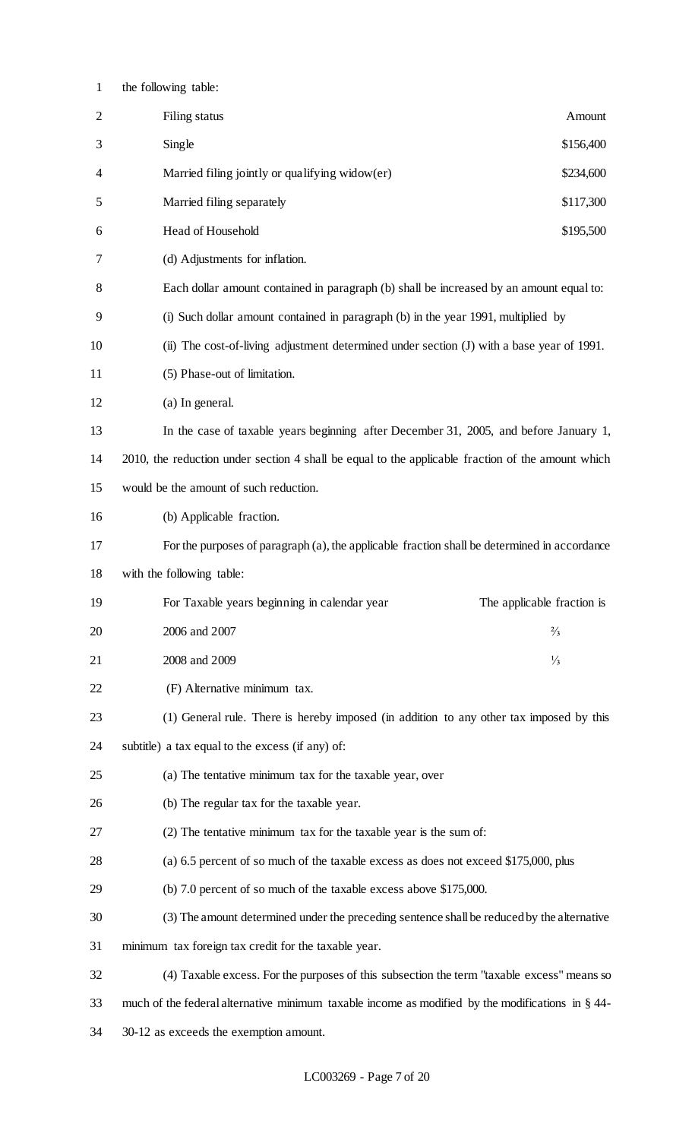| $\mathbf{1}$   | the following table:                                                                                |                            |
|----------------|-----------------------------------------------------------------------------------------------------|----------------------------|
| $\overline{2}$ | Filing status                                                                                       | Amount                     |
| 3              | Single                                                                                              | \$156,400                  |
| 4              | Married filing jointly or qualifying widow(er)                                                      | \$234,600                  |
| 5              | Married filing separately                                                                           | \$117,300                  |
| 6              | Head of Household                                                                                   | \$195,500                  |
| 7              | (d) Adjustments for inflation.                                                                      |                            |
| 8              | Each dollar amount contained in paragraph (b) shall be increased by an amount equal to:             |                            |
| 9              | (i) Such dollar amount contained in paragraph (b) in the year 1991, multiplied by                   |                            |
| 10             | (ii) The cost-of-living adjustment determined under section (J) with a base year of 1991.           |                            |
| 11             | (5) Phase-out of limitation.                                                                        |                            |
| 12             | (a) In general.                                                                                     |                            |
| 13             | In the case of taxable years beginning after December 31, 2005, and before January 1,               |                            |
| 14             | 2010, the reduction under section 4 shall be equal to the applicable fraction of the amount which   |                            |
| 15             | would be the amount of such reduction.                                                              |                            |
| 16             | (b) Applicable fraction.                                                                            |                            |
| 17             | For the purposes of paragraph (a), the applicable fraction shall be determined in accordance        |                            |
| 18             | with the following table:                                                                           |                            |
| 19             | For Taxable years beginning in calendar year                                                        | The applicable fraction is |
| 20             | 2006 and 2007                                                                                       | $\frac{2}{3}$              |
| 21             | 2008 and 2009                                                                                       | $\frac{1}{3}$              |
| 22             | (F) Alternative minimum tax.                                                                        |                            |
| 23             | (1) General rule. There is hereby imposed (in addition to any other tax imposed by this             |                            |
| 24             | subtitle) a tax equal to the excess (if any) of:                                                    |                            |
| 25             | (a) The tentative minimum tax for the taxable year, over                                            |                            |
| 26             | (b) The regular tax for the taxable year.                                                           |                            |
| 27             | (2) The tentative minimum tax for the taxable year is the sum of:                                   |                            |
| 28             | (a) 6.5 percent of so much of the taxable excess as does not exceed \$175,000, plus                 |                            |
| 29             | (b) 7.0 percent of so much of the taxable excess above \$175,000.                                   |                            |
| 30             | (3) The amount determined under the preceding sentence shall be reduced by the alternative          |                            |
| 31             | minimum tax foreign tax credit for the taxable year.                                                |                            |
| 32             | (4) Taxable excess. For the purposes of this subsection the term "taxable excess" means so          |                            |
| 33             | much of the federal alternative minimum taxable income as modified by the modifications in $\S$ 44- |                            |
| 34             | 30-12 as exceeds the exemption amount.                                                              |                            |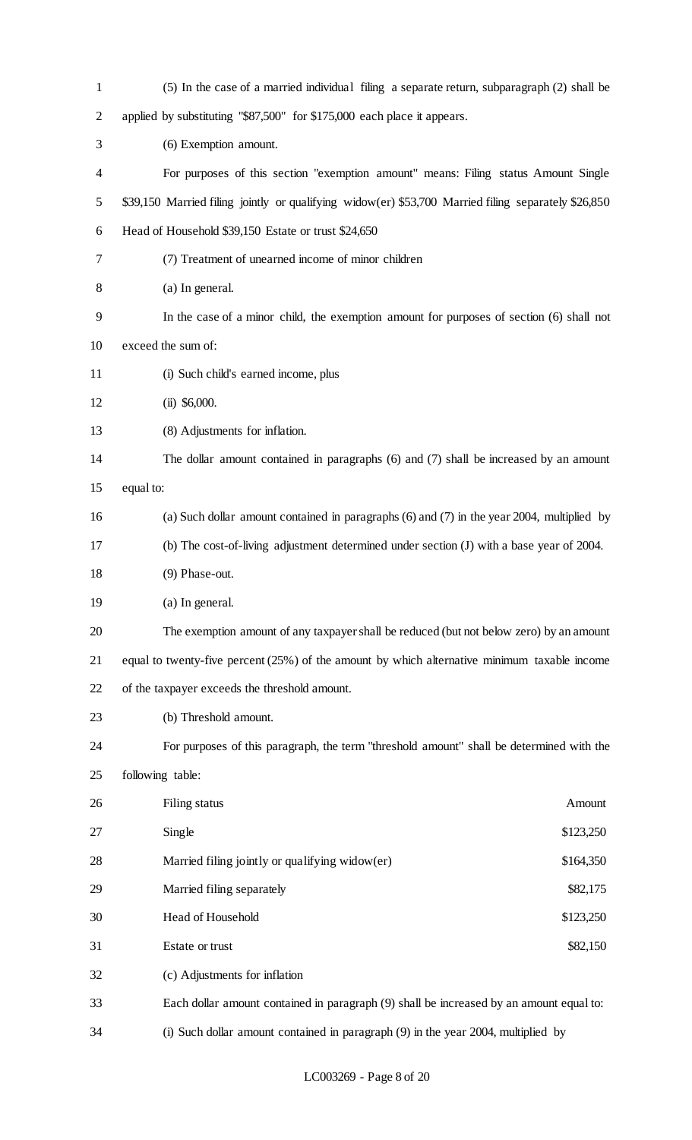| 1              | (5) In the case of a married individual filing a separate return, subparagraph (2) shall be         |
|----------------|-----------------------------------------------------------------------------------------------------|
| $\overline{2}$ | applied by substituting "\$87,500" for \$175,000 each place it appears.                             |
| 3              | (6) Exemption amount.                                                                               |
| 4              | For purposes of this section "exemption amount" means: Filing status Amount Single                  |
| 5              | \$39,150 Married filing jointly or qualifying widow(er) \$53,700 Married filing separately \$26,850 |
| 6              | Head of Household \$39,150 Estate or trust \$24,650                                                 |
| 7              | (7) Treatment of unearned income of minor children                                                  |
| 8              | (a) In general.                                                                                     |
| 9              | In the case of a minor child, the exemption amount for purposes of section (6) shall not            |
| 10             | exceed the sum of:                                                                                  |
| 11             | (i) Such child's earned income, plus                                                                |
| 12             | $(ii)$ \$6,000.                                                                                     |
| 13             | (8) Adjustments for inflation.                                                                      |
| 14             | The dollar amount contained in paragraphs (6) and (7) shall be increased by an amount               |
| 15             | equal to:                                                                                           |
| 16             | (a) Such dollar amount contained in paragraphs $(6)$ and $(7)$ in the year 2004, multiplied by      |
| 17             | (b) The cost-of-living adjustment determined under section (J) with a base year of 2004.            |
| 18             | (9) Phase-out.                                                                                      |
| 19             | (a) In general.                                                                                     |
| 20             | The exemption amount of any taxpayer shall be reduced (but not below zero) by an amount             |
| 21             | equal to twenty-five percent $(25%)$ of the amount by which alternative minimum taxable income      |
| 22             | of the taxpayer exceeds the threshold amount.                                                       |
| 23             | (b) Threshold amount.                                                                               |
| 24             | For purposes of this paragraph, the term "threshold amount" shall be determined with the            |
| 25             | following table:                                                                                    |
| 26             | Filing status<br>Amount                                                                             |
| 27             | Single<br>\$123,250                                                                                 |
| 28             | Married filing jointly or qualifying widow(er)<br>\$164,350                                         |
| 29             | Married filing separately<br>\$82,175                                                               |
| 30             | Head of Household<br>\$123,250                                                                      |
| 31             | Estate or trust<br>\$82,150                                                                         |
| 32             | (c) Adjustments for inflation                                                                       |
| 33             | Each dollar amount contained in paragraph (9) shall be increased by an amount equal to:             |
| 34             | (i) Such dollar amount contained in paragraph (9) in the year 2004, multiplied by                   |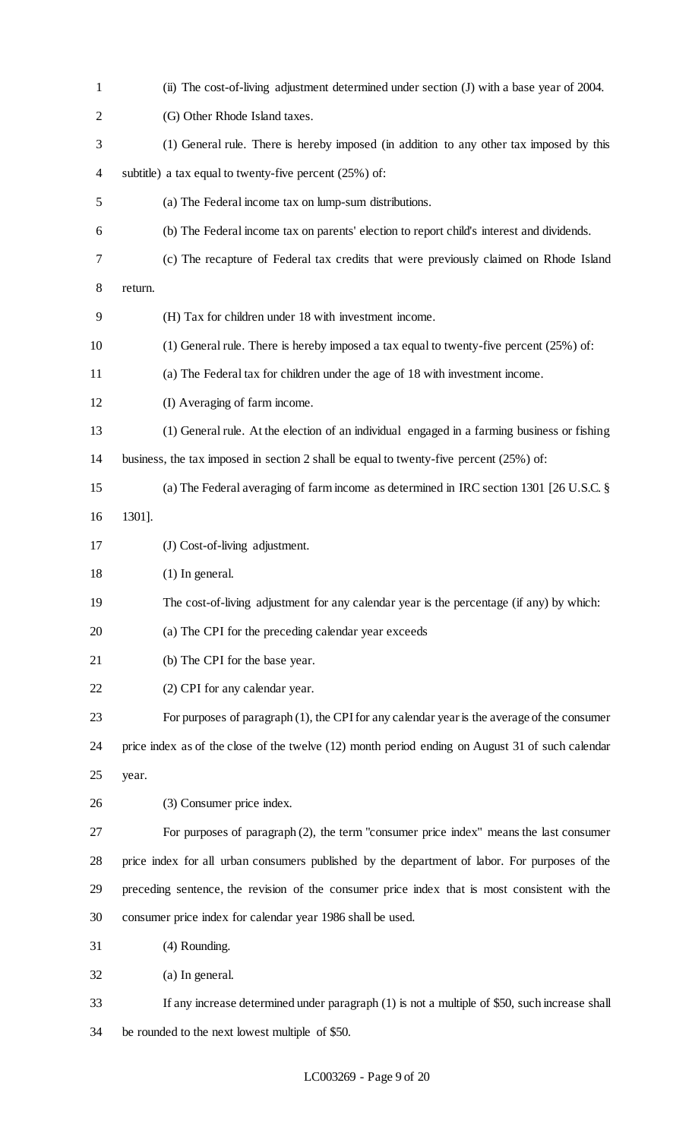| $\mathbf{1}$   | (ii) The cost-of-living adjustment determined under section (J) with a base year of 2004.        |
|----------------|--------------------------------------------------------------------------------------------------|
| $\overline{2}$ | (G) Other Rhode Island taxes.                                                                    |
| 3              | (1) General rule. There is hereby imposed (in addition to any other tax imposed by this          |
| 4              | subtitle) a tax equal to twenty-five percent $(25%)$ of:                                         |
| 5              | (a) The Federal income tax on lump-sum distributions.                                            |
| 6              | (b) The Federal income tax on parents' election to report child's interest and dividends.        |
| 7              | (c) The recapture of Federal tax credits that were previously claimed on Rhode Island            |
| 8              | return.                                                                                          |
| 9              | (H) Tax for children under 18 with investment income.                                            |
| 10             | (1) General rule. There is hereby imposed a tax equal to twenty-five percent $(25%)$ of:         |
| 11             | (a) The Federal tax for children under the age of 18 with investment income.                     |
| 12             | (I) Averaging of farm income.                                                                    |
| 13             | (1) General rule. At the election of an individual engaged in a farming business or fishing      |
| 14             | business, the tax imposed in section 2 shall be equal to twenty-five percent (25%) of:           |
| 15             | (a) The Federal averaging of farm income as determined in IRC section 1301 [26 U.S.C. $\S$       |
| 16             | 1301].                                                                                           |
| 17             | (J) Cost-of-living adjustment.                                                                   |
| 18             | $(1)$ In general.                                                                                |
| 19             | The cost-of-living adjustment for any calendar year is the percentage (if any) by which:         |
| 20             | (a) The CPI for the preceding calendar year exceeds                                              |
| 21             | (b) The CPI for the base year.                                                                   |
| 22             | (2) CPI for any calendar year.                                                                   |
| 23             | For purposes of paragraph (1), the CPI for any calendar year is the average of the consumer      |
| 24             | price index as of the close of the twelve (12) month period ending on August 31 of such calendar |
| 25             | year.                                                                                            |
| 26             | (3) Consumer price index.                                                                        |
| 27             | For purposes of paragraph (2), the term "consumer price index" means the last consumer           |
| 28             | price index for all urban consumers published by the department of labor. For purposes of the    |
| 29             | preceding sentence, the revision of the consumer price index that is most consistent with the    |
| 30             | consumer price index for calendar year 1986 shall be used.                                       |
| 31             | (4) Rounding.                                                                                    |
| 32             | (a) In general.                                                                                  |
| 33             | If any increase determined under paragraph (1) is not a multiple of \$50, such increase shall    |
| 34             | be rounded to the next lowest multiple of \$50.                                                  |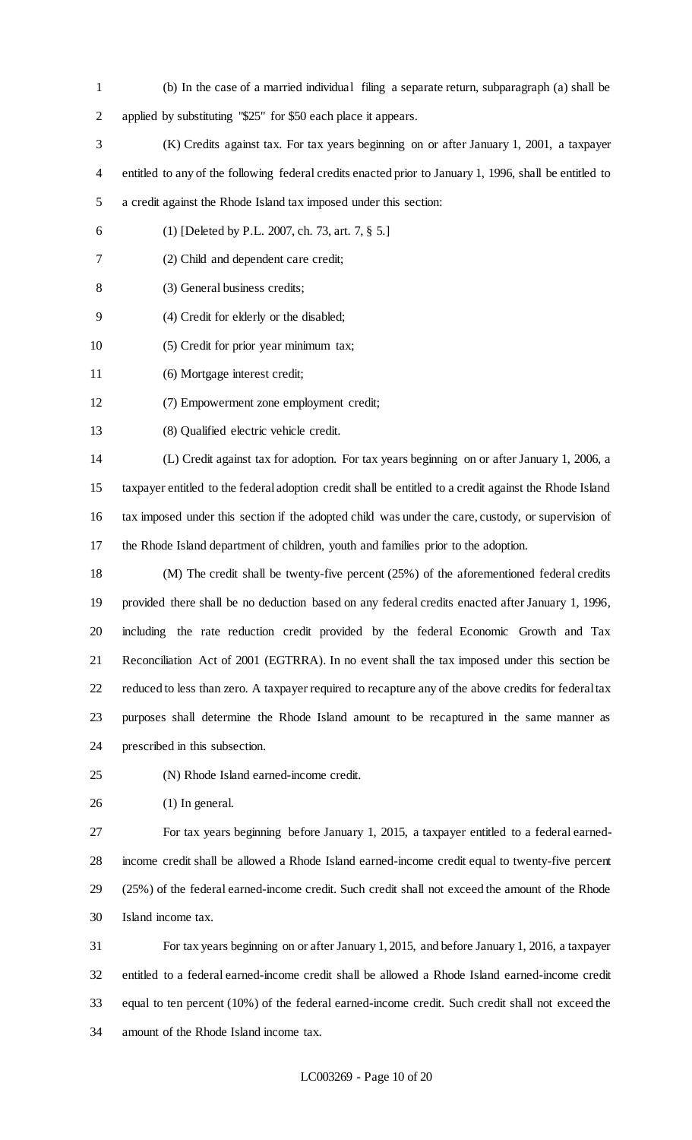- (b) In the case of a married individual filing a separate return, subparagraph (a) shall be applied by substituting "\$25" for \$50 each place it appears.
- (K) Credits against tax. For tax years beginning on or after January 1, 2001, a taxpayer entitled to any of the following federal credits enacted prior to January 1, 1996, shall be entitled to a credit against the Rhode Island tax imposed under this section:
- 
- (1) [Deleted by P.L. 2007, ch. 73, art. 7, § 5.]
- (2) Child and dependent care credit;
- (3) General business credits;
- (4) Credit for elderly or the disabled;
- (5) Credit for prior year minimum tax;
- (6) Mortgage interest credit;
- (7) Empowerment zone employment credit;
- (8) Qualified electric vehicle credit.

 (L) Credit against tax for adoption. For tax years beginning on or after January 1, 2006, a taxpayer entitled to the federal adoption credit shall be entitled to a credit against the Rhode Island tax imposed under this section if the adopted child was under the care, custody, or supervision of the Rhode Island department of children, youth and families prior to the adoption.

 (M) The credit shall be twenty-five percent (25%) of the aforementioned federal credits provided there shall be no deduction based on any federal credits enacted after January 1, 1996, including the rate reduction credit provided by the federal Economic Growth and Tax Reconciliation Act of 2001 (EGTRRA). In no event shall the tax imposed under this section be reduced to less than zero. A taxpayer required to recapture any of the above credits for federal tax purposes shall determine the Rhode Island amount to be recaptured in the same manner as prescribed in this subsection.

- (N) Rhode Island earned-income credit.
- (1) In general.

 For tax years beginning before January 1, 2015, a taxpayer entitled to a federal earned- income credit shall be allowed a Rhode Island earned-income credit equal to twenty-five percent (25%) of the federal earned-income credit. Such credit shall not exceed the amount of the Rhode Island income tax.

 For tax years beginning on or after January 1, 2015, and before January 1, 2016, a taxpayer entitled to a federal earned-income credit shall be allowed a Rhode Island earned-income credit equal to ten percent (10%) of the federal earned-income credit. Such credit shall not exceed the amount of the Rhode Island income tax.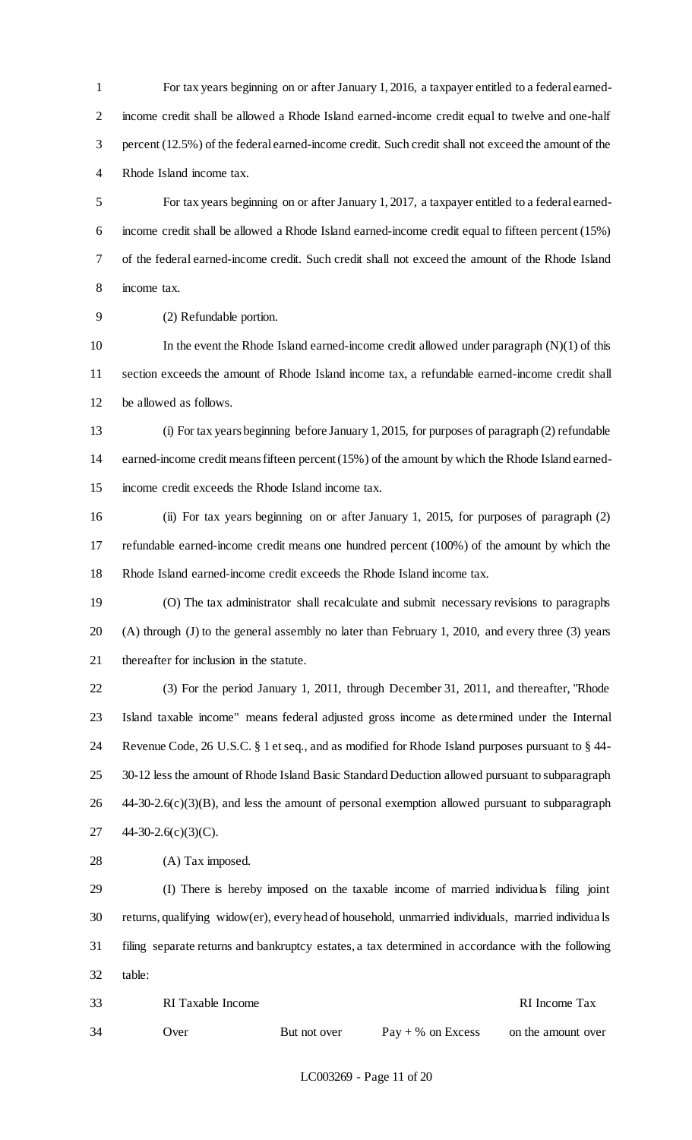For tax years beginning on or after January 1, 2016, a taxpayer entitled to a federal earned- income credit shall be allowed a Rhode Island earned-income credit equal to twelve and one-half percent (12.5%) of the federal earned-income credit. Such credit shall not exceed the amount of the Rhode Island income tax.

 For tax years beginning on or after January 1, 2017, a taxpayer entitled to a federal earned- income credit shall be allowed a Rhode Island earned-income credit equal to fifteen percent (15%) of the federal earned-income credit. Such credit shall not exceed the amount of the Rhode Island income tax.

(2) Refundable portion.

 In the event the Rhode Island earned-income credit allowed under paragraph (N)(1) of this section exceeds the amount of Rhode Island income tax, a refundable earned-income credit shall be allowed as follows.

 (i) For tax years beginning before January 1, 2015, for purposes of paragraph (2) refundable earned-income credit means fifteen percent (15%) of the amount by which the Rhode Island earned-income credit exceeds the Rhode Island income tax.

 (ii) For tax years beginning on or after January 1, 2015, for purposes of paragraph (2) refundable earned-income credit means one hundred percent (100%) of the amount by which the Rhode Island earned-income credit exceeds the Rhode Island income tax.

 (O) The tax administrator shall recalculate and submit necessary revisions to paragraphs (A) through (J) to the general assembly no later than February 1, 2010, and every three (3) years thereafter for inclusion in the statute.

 (3) For the period January 1, 2011, through December 31, 2011, and thereafter, "Rhode Island taxable income" means federal adjusted gross income as determined under the Internal Revenue Code, 26 U.S.C. § 1 et seq., and as modified for Rhode Island purposes pursuant to § 44- 30-12 less the amount of Rhode Island Basic Standard Deduction allowed pursuant to subparagraph 44-30-2.6(c)(3)(B), and less the amount of personal exemption allowed pursuant to subparagraph 44-30-2.6(c)(3)(C).

28 (A) Tax imposed.

 (I) There is hereby imposed on the taxable income of married individuals filing joint returns, qualifying widow(er), every head of household, unmarried individuals, married individua ls filing separate returns and bankruptcy estates, a tax determined in accordance with the following table:

| 33 | RI Taxable Income |              |                     | RI Income Tax      |
|----|-------------------|--------------|---------------------|--------------------|
| 34 | .)ver             | But not over | $Pay + % on Excess$ | on the amount over |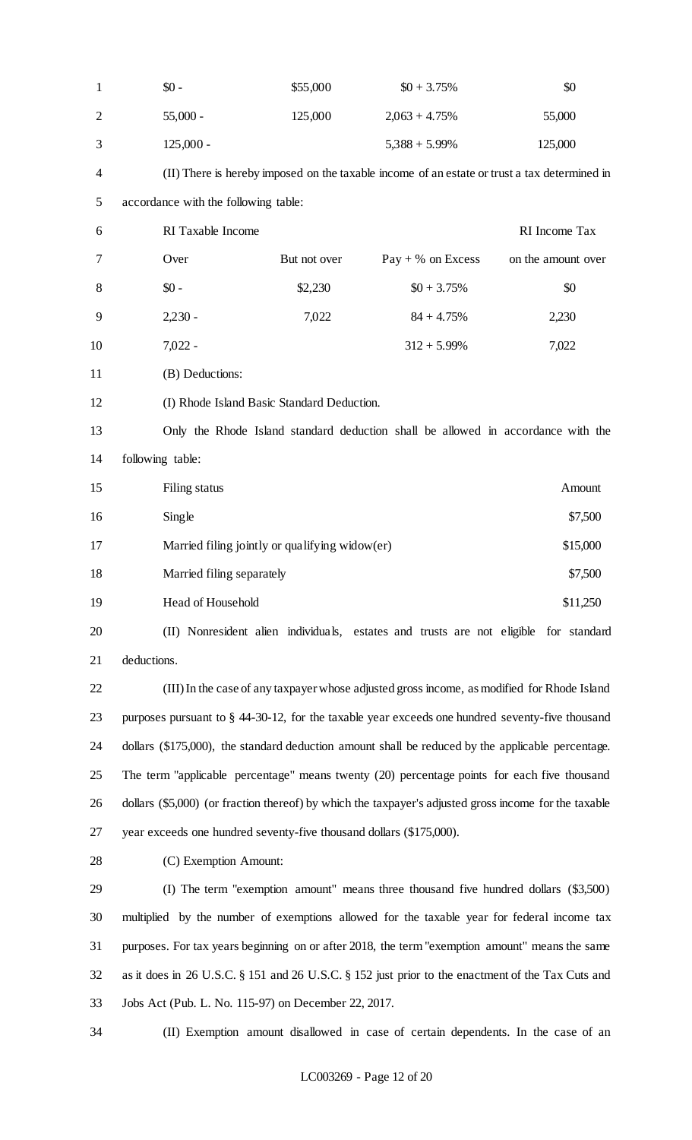| $\mathbf{1}$   | $$0 -$                                                                                                | \$55,000                                       | $$0 + 3.75\%$                                                                                | \$0                |
|----------------|-------------------------------------------------------------------------------------------------------|------------------------------------------------|----------------------------------------------------------------------------------------------|--------------------|
| $\overline{2}$ | $55,000 -$                                                                                            | 125,000                                        | $2,063 + 4.75%$                                                                              | 55,000             |
| 3              | $125,000 -$                                                                                           |                                                | $5,388 + 5.99\%$                                                                             | 125,000            |
| 4              |                                                                                                       |                                                | (II) There is hereby imposed on the taxable income of an estate or trust a tax determined in |                    |
| 5              | accordance with the following table:                                                                  |                                                |                                                                                              |                    |
| 6              | RI Taxable Income                                                                                     |                                                |                                                                                              | RI Income Tax      |
| 7              | Over                                                                                                  | But not over                                   | $Pay + % on Excess$                                                                          | on the amount over |
| 8              | $$0 -$                                                                                                | \$2,230                                        | $$0 + 3.75\%$                                                                                | \$0                |
| 9              | $2,230 -$                                                                                             | 7,022                                          | $84 + 4.75%$                                                                                 | 2,230              |
| 10             | $7,022 -$                                                                                             |                                                | $312 + 5.99\%$                                                                               | 7,022              |
| 11             | (B) Deductions:                                                                                       |                                                |                                                                                              |                    |
| 12             |                                                                                                       | (I) Rhode Island Basic Standard Deduction.     |                                                                                              |                    |
| 13             |                                                                                                       |                                                | Only the Rhode Island standard deduction shall be allowed in accordance with the             |                    |
| 14             | following table:                                                                                      |                                                |                                                                                              |                    |
| 15             | Filing status                                                                                         |                                                |                                                                                              | Amount             |
| 16             | Single                                                                                                |                                                |                                                                                              | \$7,500            |
| 17             |                                                                                                       | Married filing jointly or qualifying widow(er) |                                                                                              | \$15,000           |
| 18             | Married filing separately                                                                             |                                                |                                                                                              | \$7,500            |
| 19             | Head of Household                                                                                     |                                                |                                                                                              | \$11,250           |
| 20             |                                                                                                       |                                                | (II) Nonresident alien individuals, estates and trusts are not eligible for standard         |                    |
| 21             | deductions.                                                                                           |                                                |                                                                                              |                    |
| 22             |                                                                                                       |                                                | (III) In the case of any taxpayer whose adjusted gross income, as modified for Rhode Island  |                    |
| 23             | purposes pursuant to $\S$ 44-30-12, for the taxable year exceeds one hundred seventy-five thousand    |                                                |                                                                                              |                    |
| 24             | dollars (\$175,000), the standard deduction amount shall be reduced by the applicable percentage.     |                                                |                                                                                              |                    |
| 25             | The term "applicable percentage" means twenty (20) percentage points for each five thousand           |                                                |                                                                                              |                    |
| 26             | dollars (\$5,000) (or fraction thereof) by which the taxpayer's adjusted gross income for the taxable |                                                |                                                                                              |                    |
| 27             | year exceeds one hundred seventy-five thousand dollars (\$175,000).                                   |                                                |                                                                                              |                    |
| 28             | (C) Exemption Amount:                                                                                 |                                                |                                                                                              |                    |
| 29             |                                                                                                       |                                                | (I) The term "exemption amount" means three thousand five hundred dollars (\$3,500)          |                    |
| 30             | multiplied by the number of exemptions allowed for the taxable year for federal income tax            |                                                |                                                                                              |                    |
| 31             | purposes. For tax years beginning on or after 2018, the term "exemption amount" means the same        |                                                |                                                                                              |                    |
| 32             | as it does in 26 U.S.C. § 151 and 26 U.S.C. § 152 just prior to the enactment of the Tax Cuts and     |                                                |                                                                                              |                    |
| 33             | Jobs Act (Pub. L. No. 115-97) on December 22, 2017.                                                   |                                                |                                                                                              |                    |
| 34             |                                                                                                       |                                                | (II) Exemption amount disallowed in case of certain dependents. In the case of an            |                    |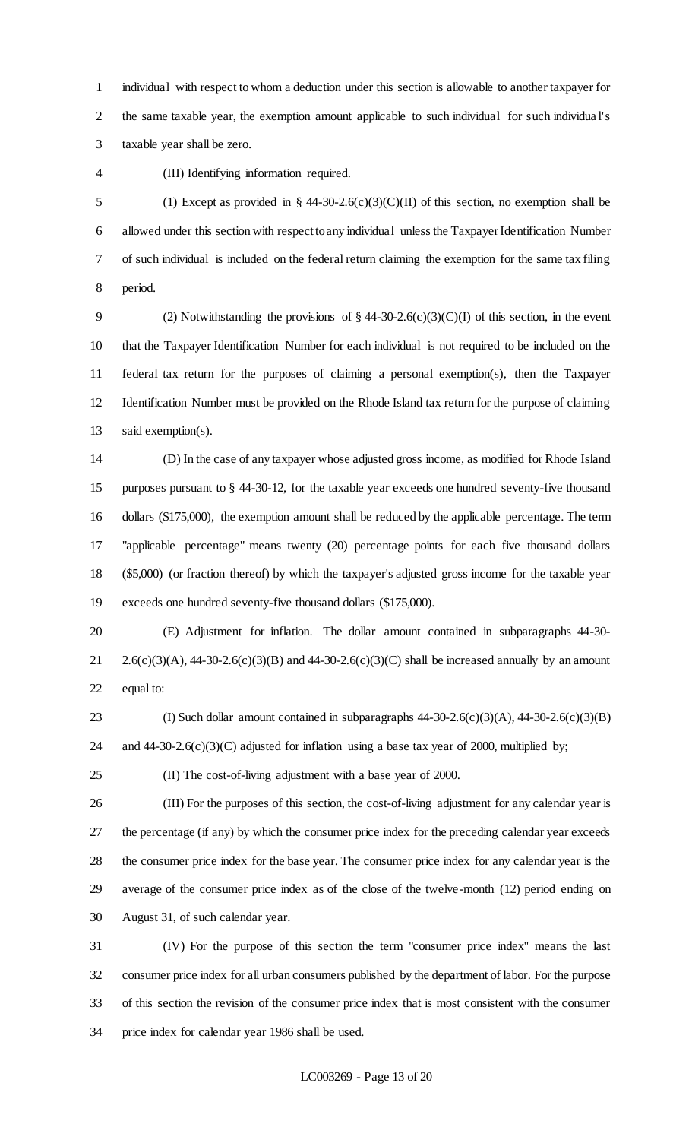individual with respect to whom a deduction under this section is allowable to another taxpayer for the same taxable year, the exemption amount applicable to such individual for such individua l's taxable year shall be zero.

(III) Identifying information required.

5 (1) Except as provided in § 44-30-2.6(c)(3)(C)(II) of this section, no exemption shall be allowed under this section with respect to any individual unless the Taxpayer Identification Number of such individual is included on the federal return claiming the exemption for the same tax filing period.

9 (2) Notwithstanding the provisions of  $\S$  44-30-2.6(c)(3)(C)(I) of this section, in the event that the Taxpayer Identification Number for each individual is not required to be included on the federal tax return for the purposes of claiming a personal exemption(s), then the Taxpayer Identification Number must be provided on the Rhode Island tax return for the purpose of claiming said exemption(s).

 (D) In the case of any taxpayer whose adjusted gross income, as modified for Rhode Island purposes pursuant to § 44-30-12, for the taxable year exceeds one hundred seventy-five thousand dollars (\$175,000), the exemption amount shall be reduced by the applicable percentage. The term "applicable percentage" means twenty (20) percentage points for each five thousand dollars (\$5,000) (or fraction thereof) by which the taxpayer's adjusted gross income for the taxable year exceeds one hundred seventy-five thousand dollars (\$175,000).

 (E) Adjustment for inflation. The dollar amount contained in subparagraphs 44-30- 21 2.6(c)(3)(A), 44-30-2.6(c)(3)(B) and 44-30-2.6(c)(3)(C) shall be increased annually by an amount equal to:

23 (I) Such dollar amount contained in subparagraphs  $44-30-2.6(c)(3)(A)$ ,  $44-30-2.6(c)(3)(B)$ 24 and 44-30-2.6(c)(3)(C) adjusted for inflation using a base tax year of 2000, multiplied by;

(II) The cost-of-living adjustment with a base year of 2000.

 (III) For the purposes of this section, the cost-of-living adjustment for any calendar year is the percentage (if any) by which the consumer price index for the preceding calendar year exceeds the consumer price index for the base year. The consumer price index for any calendar year is the average of the consumer price index as of the close of the twelve-month (12) period ending on August 31, of such calendar year.

 (IV) For the purpose of this section the term "consumer price index" means the last consumer price index for all urban consumers published by the department of labor. For the purpose of this section the revision of the consumer price index that is most consistent with the consumer price index for calendar year 1986 shall be used.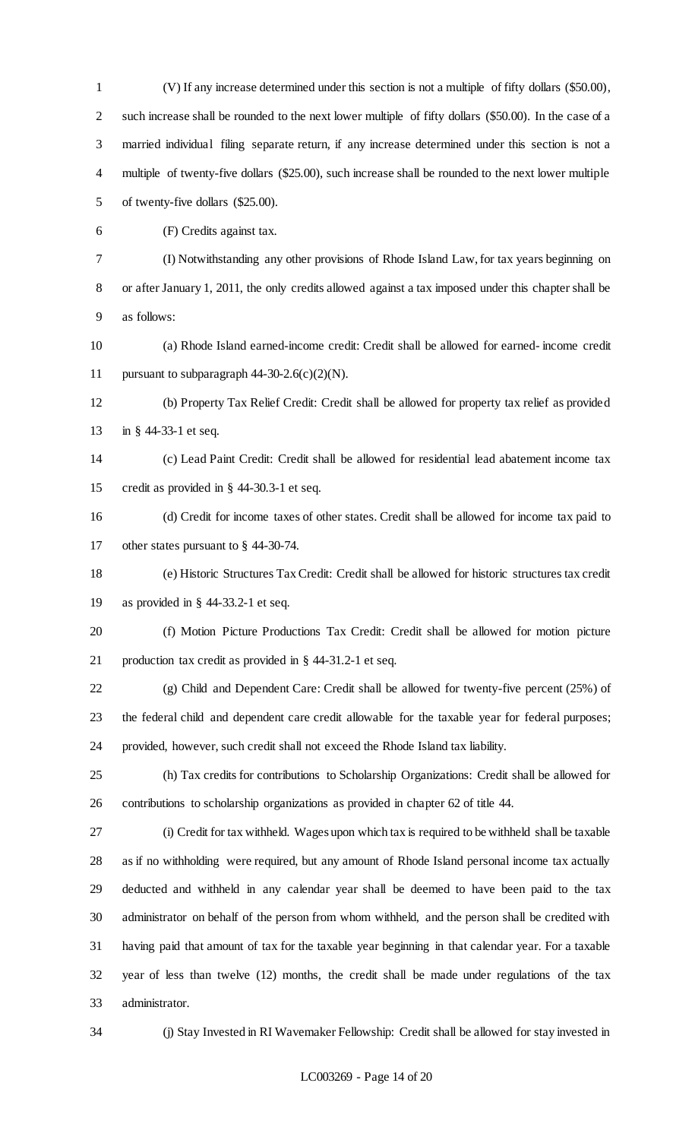(V) If any increase determined under this section is not a multiple of fifty dollars (\$50.00), such increase shall be rounded to the next lower multiple of fifty dollars (\$50.00). In the case of a married individual filing separate return, if any increase determined under this section is not a multiple of twenty-five dollars (\$25.00), such increase shall be rounded to the next lower multiple of twenty-five dollars (\$25.00).

(F) Credits against tax.

 (I) Notwithstanding any other provisions of Rhode Island Law, for tax years beginning on or after January 1, 2011, the only credits allowed against a tax imposed under this chapter shall be as follows:

 (a) Rhode Island earned-income credit: Credit shall be allowed for earned- income credit 11 pursuant to subparagraph  $44-30-2.6(c)(2)(N)$ .

 (b) Property Tax Relief Credit: Credit shall be allowed for property tax relief as provided in § 44-33-1 et seq.

 (c) Lead Paint Credit: Credit shall be allowed for residential lead abatement income tax credit as provided in § 44-30.3-1 et seq.

 (d) Credit for income taxes of other states. Credit shall be allowed for income tax paid to other states pursuant to § 44-30-74.

 (e) Historic Structures Tax Credit: Credit shall be allowed for historic structures tax credit as provided in § 44-33.2-1 et seq.

 (f) Motion Picture Productions Tax Credit: Credit shall be allowed for motion picture production tax credit as provided in § 44-31.2-1 et seq.

 (g) Child and Dependent Care: Credit shall be allowed for twenty-five percent (25%) of the federal child and dependent care credit allowable for the taxable year for federal purposes; provided, however, such credit shall not exceed the Rhode Island tax liability.

 (h) Tax credits for contributions to Scholarship Organizations: Credit shall be allowed for contributions to scholarship organizations as provided in chapter 62 of title 44.

 (i) Credit for tax withheld. Wages upon which tax is required to be withheld shall be taxable as if no withholding were required, but any amount of Rhode Island personal income tax actually deducted and withheld in any calendar year shall be deemed to have been paid to the tax administrator on behalf of the person from whom withheld, and the person shall be credited with having paid that amount of tax for the taxable year beginning in that calendar year. For a taxable year of less than twelve (12) months, the credit shall be made under regulations of the tax administrator.

(j) Stay Invested in RI Wavemaker Fellowship: Credit shall be allowed for stay invested in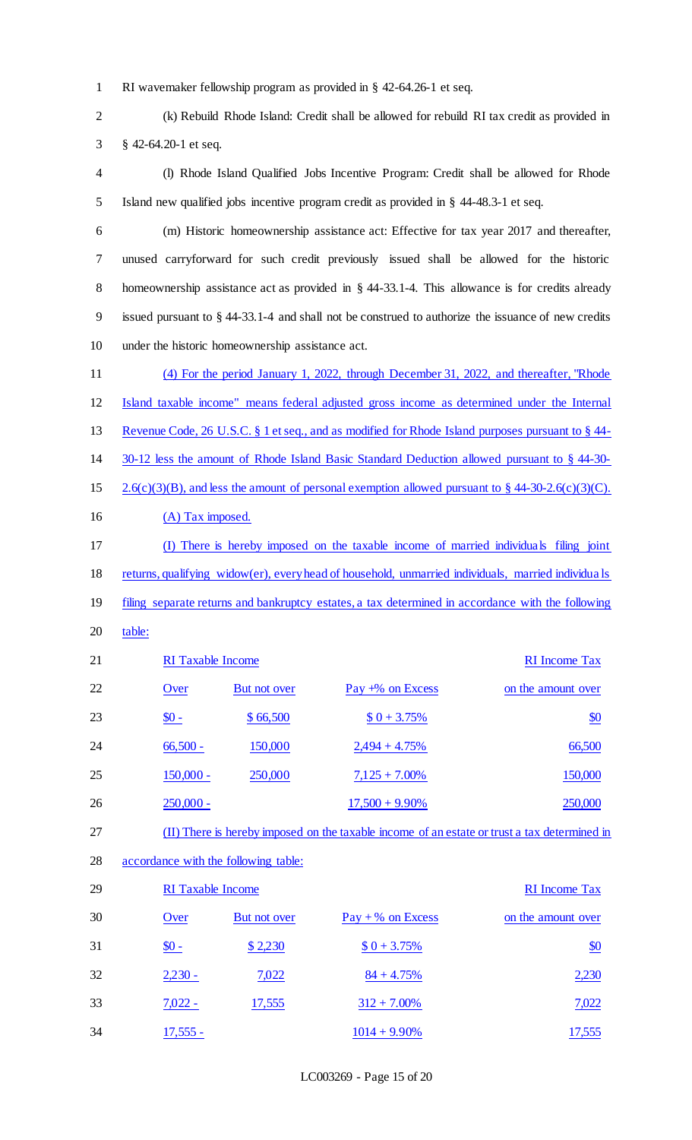- RI wavemaker fellowship program as provided in § 42-64.26-1 et seq.
- (k) Rebuild Rhode Island: Credit shall be allowed for rebuild RI tax credit as provided in § 42-64.20-1 et seq.
- (l) Rhode Island Qualified Jobs Incentive Program: Credit shall be allowed for Rhode Island new qualified jobs incentive program credit as provided in § 44-48.3-1 et seq.
- (m) Historic homeownership assistance act: Effective for tax year 2017 and thereafter, unused carryforward for such credit previously issued shall be allowed for the historic homeownership assistance act as provided in § 44-33.1-4. This allowance is for credits already issued pursuant to § 44-33.1-4 and shall not be construed to authorize the issuance of new credits under the historic homeownership assistance act.
- (4) For the period January 1, 2022, through December 31, 2022, and thereafter, "Rhode Island taxable income" means federal adjusted gross income as determined under the Internal Revenue Code, 26 U.S.C. § 1 et seq., and as modified for Rhode Island purposes pursuant to § 44-
- 30-12 less the amount of Rhode Island Basic Standard Deduction allowed pursuant to § 44-30-
- 15 2.6(c)(3)(B), and less the amount of personal exemption allowed pursuant to  $\S$  44-30-2.6(c)(3)(C).
- 16 (A) Tax imposed.
- (I) There is hereby imposed on the taxable income of married individuals filing joint
- 18 returns, qualifying widow(er), every head of household, unmarried individuals, married individuals
- 19 filing separate returns and bankruptcy estates, a tax determined in accordance with the following
- 20 table:
- 21 RI Taxable Income Tax 22 Over But not over Pay +% on Excess on the amount over 23  $\text{\$0 -} \text{\$66,500} \text{\$0 + 3.75\%}$ 24 66,500 150,000 2,494 + 4.75% 66,500 25 150,000 250,000 7,125 + 7.00% 150,000 26 250,000 - 17,500 + 9.90% 250,000 (II) There is hereby imposed on the taxable income of an estate or trust a tax determined in
- accordance with the following table:

| 29 | <b>RI</b> Taxable Income |                     |                     | <b>RI</b> Income Tax |
|----|--------------------------|---------------------|---------------------|----------------------|
| 30 | Over                     | <b>But not over</b> | $Pay + % on Excess$ | on the amount over   |
| 31 | $\underline{\$0}$ -      | \$2,230             | $$0 + 3.75\%$       | $\underline{\$0}$    |
| 32 | $2,230 -$                | 7,022               | $84 + 4.75%$        | 2,230                |
| 33 | $7,022 -$                | 17,555              | $312 + 7.00\%$      | 7,022                |
| 34 | $17,555 -$               |                     | $1014 + 9.90\%$     | 17,555               |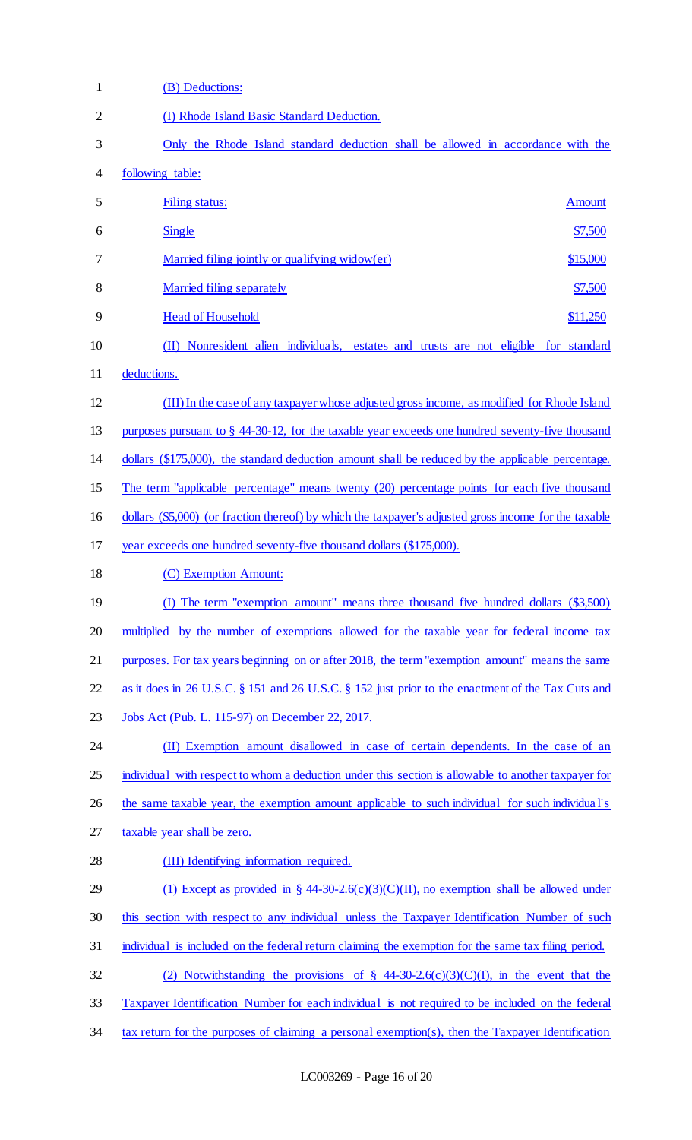| 1              | (B) Deductions:                                                                                       |
|----------------|-------------------------------------------------------------------------------------------------------|
| $\overline{2}$ | (I) Rhode Island Basic Standard Deduction.                                                            |
| 3              | Only the Rhode Island standard deduction shall be allowed in accordance with the                      |
| 4              | following table:                                                                                      |
| 5              | Filing status:<br><b>Amount</b>                                                                       |
| 6              | Single<br>\$7,500                                                                                     |
| 7              | Married filing jointly or qualifying widow(er)<br>\$15,000                                            |
| 8              | Married filing separately<br>\$7,500                                                                  |
| 9              | <b>Head of Household</b><br>\$11,250                                                                  |
| 10             | (II) Nonresident alien individuals, estates and trusts are not eligible for standard                  |
| 11             | deductions.                                                                                           |
| 12             | (III) In the case of any taxpayer whose adjusted gross income, as modified for Rhode Island           |
| 13             | purposes pursuant to $\S$ 44-30-12, for the taxable year exceeds one hundred seventy-five thousand    |
| 14             | dollars (\$175,000), the standard deduction amount shall be reduced by the applicable percentage.     |
| 15             | The term "applicable percentage" means twenty (20) percentage points for each five thousand           |
| 16             | dollars (\$5,000) (or fraction thereof) by which the taxpayer's adjusted gross income for the taxable |
| 17             | year exceeds one hundred seventy-five thousand dollars (\$175,000).                                   |
| 18             | (C) Exemption Amount:                                                                                 |
| 19             | (I) The term "exemption amount" means three thousand five hundred dollars (\$3,500)                   |
| 20             | multiplied by the number of exemptions allowed for the taxable year for federal income tax            |
| 21             | purposes. For tax years beginning on or after 2018, the term "exemption amount" means the same        |
| 22             | as it does in 26 U.S.C. § 151 and 26 U.S.C. § 152 just prior to the enactment of the Tax Cuts and     |
| 23             | Jobs Act (Pub. L. 115-97) on December 22, 2017.                                                       |
| 24             | (II) Exemption amount disallowed in case of certain dependents. In the case of an                     |
| 25             | individual with respect to whom a deduction under this section is allowable to another taxpayer for   |
| 26             | the same taxable year, the exemption amount applicable to such individual for such individual's       |
| 27             | taxable year shall be zero.                                                                           |
| 28             | (III) Identifying information required.                                                               |
| 29             | (1) Except as provided in § 44-30-2.6(c)(3)(C)(II), no exemption shall be allowed under               |
| 30             | this section with respect to any individual unless the Taxpayer Identification Number of such         |
| 31             | individual is included on the federal return claiming the exemption for the same tax filing period.   |
| 32             | (2) Notwithstanding the provisions of § 44-30-2.6(c)(3)(C)(I), in the event that the                  |
| 33             | Taxpayer Identification Number for each individual is not required to be included on the federal      |
| 34             | tax return for the purposes of claiming a personal exemption(s), then the Taxpayer Identification     |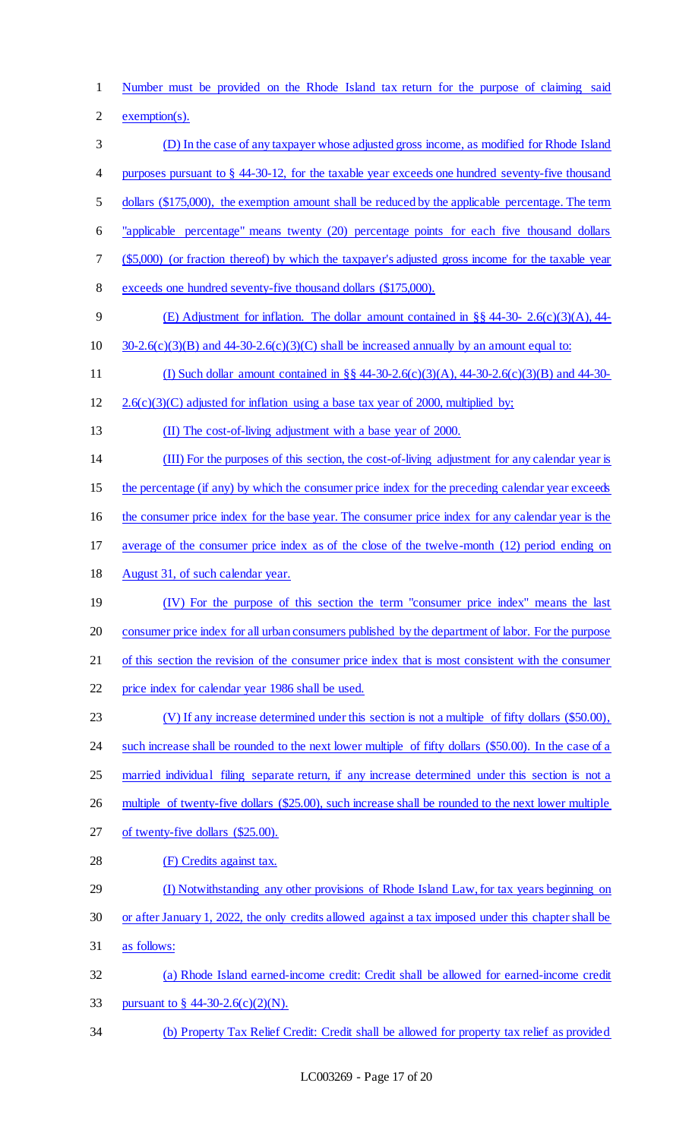Number must be provided on the Rhode Island tax return for the purpose of claiming said

exemption(s).

- (D) In the case of any taxpayer whose adjusted gross income, as modified for Rhode Island purposes pursuant to § 44-30-12, for the taxable year exceeds one hundred seventy-five thousand
- dollars (\$175,000), the exemption amount shall be reduced by the applicable percentage. The term
- "applicable percentage" means twenty (20) percentage points for each five thousand dollars
- (\$5,000) (or fraction thereof) by which the taxpayer's adjusted gross income for the taxable year
- exceeds one hundred seventy-five thousand dollars (\$175,000).
- (E) Adjustment for inflation. The dollar amount contained in §§ 44-30- 2.6(c)(3)(A), 44-
- 10  $30-2.6(c)(3)(B)$  and 44-30-2.6(c)(3)(C) shall be increased annually by an amount equal to:
- (I) Such dollar amount contained in §§ 44-30-2.6(c)(3)(A), 44-30-2.6(c)(3)(B) and 44-30-
- 12 2.6(c)(3)(C) adjusted for inflation using a base tax year of 2000, multiplied by;
- (II) The cost-of-living adjustment with a base year of 2000.
- (III) For the purposes of this section, the cost-of-living adjustment for any calendar year is
- 15 the percentage (if any) by which the consumer price index for the preceding calendar year exceeds
- 16 the consumer price index for the base year. The consumer price index for any calendar year is the
- average of the consumer price index as of the close of the twelve-month (12) period ending on
- August 31, of such calendar year.
- (IV) For the purpose of this section the term "consumer price index" means the last consumer price index for all urban consumers published by the department of labor. For the purpose
- of this section the revision of the consumer price index that is most consistent with the consumer
- price index for calendar year 1986 shall be used.
- (V) If any increase determined under this section is not a multiple of fifty dollars (\$50.00),
- 24 such increase shall be rounded to the next lower multiple of fifty dollars (\$50.00). In the case of a
- 25 married individual filing separate return, if any increase determined under this section is not a
- multiple of twenty-five dollars (\$25.00), such increase shall be rounded to the next lower multiple
- of twenty-five dollars (\$25.00).
- (F) Credits against tax.
- (I) Notwithstanding any other provisions of Rhode Island Law, for tax years beginning on
- or after January 1, 2022, the only credits allowed against a tax imposed under this chapter shall be
- as follows:
- (a) Rhode Island earned-income credit: Credit shall be allowed for earned-income credit 33 pursuant to  $\frac{6}{9}$  44-30-2.6(c)(2)(N).
- (b) Property Tax Relief Credit: Credit shall be allowed for property tax relief as provided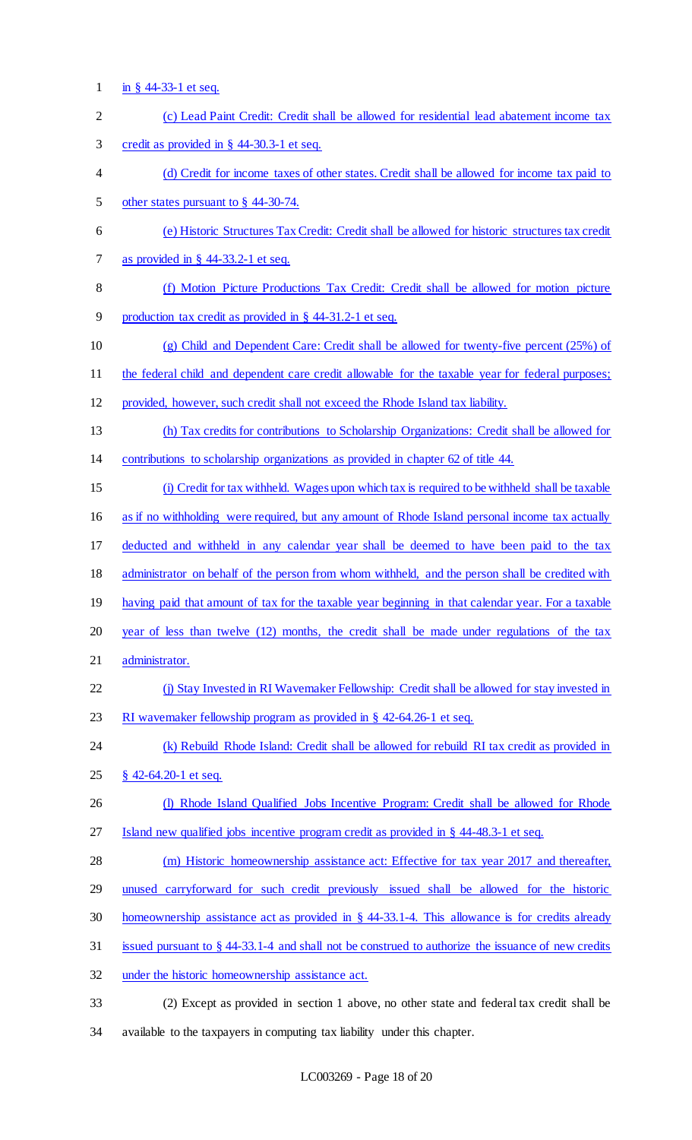1 <u>in § 44-33-1 et seq.</u>

| $\mathbf{2}$   | (c) Lead Paint Credit: Credit shall be allowed for residential lead abatement income tax           |
|----------------|----------------------------------------------------------------------------------------------------|
| 3              | credit as provided in $\S$ 44-30.3-1 et seq.                                                       |
| $\overline{4}$ | (d) Credit for income taxes of other states. Credit shall be allowed for income tax paid to        |
| 5              | other states pursuant to $\S$ 44-30-74.                                                            |
| 6              | (e) Historic Structures Tax Credit: Credit shall be allowed for historic structures tax credit     |
| $\tau$         | as provided in $\S$ 44-33.2-1 et seq.                                                              |
| 8              | (f) Motion Picture Productions Tax Credit: Credit shall be allowed for motion picture              |
| 9              | production tax credit as provided in § 44-31.2-1 et seq.                                           |
| 10             | (g) Child and Dependent Care: Credit shall be allowed for twenty-five percent (25%) of             |
| 11             | the federal child and dependent care credit allowable for the taxable year for federal purposes;   |
| 12             | provided, however, such credit shall not exceed the Rhode Island tax liability.                    |
| 13             | (h) Tax credits for contributions to Scholarship Organizations: Credit shall be allowed for        |
| 14             | contributions to scholarship organizations as provided in chapter 62 of title 44.                  |
| 15             | (i) Credit for tax withheld. Wages upon which tax is required to be withheld shall be taxable      |
| 16             | as if no withholding were required, but any amount of Rhode Island personal income tax actually    |
| 17             | deducted and withheld in any calendar year shall be deemed to have been paid to the tax            |
| 18             | administrator on behalf of the person from whom withheld, and the person shall be credited with    |
| 19             | having paid that amount of tax for the taxable year beginning in that calendar year. For a taxable |
| 20             | year of less than twelve (12) months, the credit shall be made under regulations of the tax        |
| 21             | administrator.                                                                                     |
| 22             | (j) Stay Invested in RI Wavemaker Fellowship: Credit shall be allowed for stay invested in         |
| 23             | RI wavemaker fellowship program as provided in $\S$ 42-64.26-1 et seq.                             |
| 24             | (k) Rebuild Rhode Island: Credit shall be allowed for rebuild RI tax credit as provided in         |
| 25             | $\frac{8}{9}$ 42-64.20-1 et seq.                                                                   |
| 26             | (I) Rhode Island Qualified Jobs Incentive Program: Credit shall be allowed for Rhode               |
| 27             | Island new qualified jobs incentive program credit as provided in § 44-48.3-1 et seq.              |
| 28             | (m) Historic homeownership assistance act: Effective for tax year 2017 and thereafter,             |
| 29             | unused carryforward for such credit previously issued shall be allowed for the historic            |
| 30             | homeownership assistance act as provided in $\S$ 44-33.1-4. This allowance is for credits already  |
| 31             | issued pursuant to § 44-33.1-4 and shall not be construed to authorize the issuance of new credits |
| 32             | under the historic homeownership assistance act.                                                   |
| 33             | (2) Except as provided in section 1 above, no other state and federal tax credit shall be          |

34 available to the taxpayers in computing tax liability under this chapter.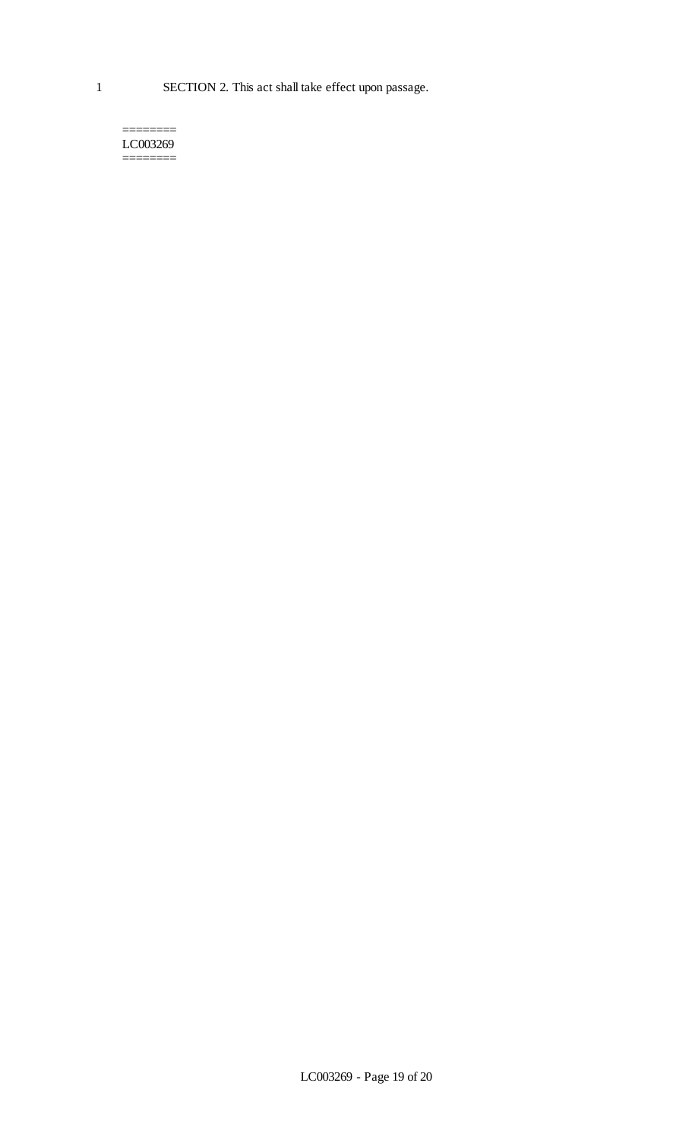======== LC003269 ========